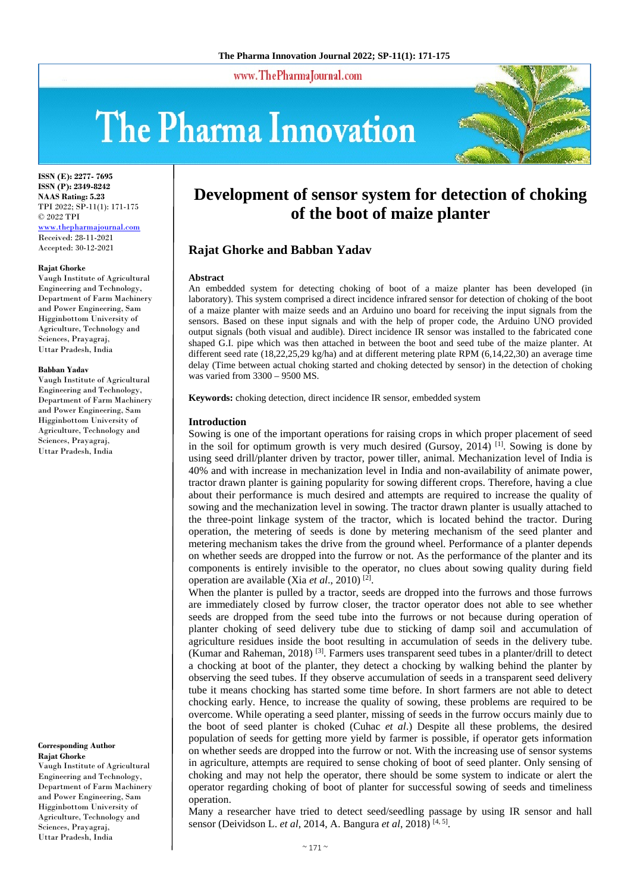www.ThePharmaJournal.com

# The Pharma Innovation



**ISSN (E): 2277- 7695 ISSN (P): 2349-8242 NAAS Rating: 5.23** TPI 2022; SP-11(1): 171-175 © 2022 TPI www.thepharmajournal.com Received: 28-11-2021 Accepted: 30-12-2021

#### **Rajat Ghorke**

Vaugh Institute of Agricultural Engineering and Technology, Department of Farm Machinery and Power Engineering, Sam Higginbottom University of Agriculture, Technology and Sciences, Prayagraj, Uttar Pradesh, India

#### **Babban Yadav**

Vaugh Institute of Agricultural Engineering and Technology, Department of Farm Machinery and Power Engineering, Sam Higginbottom University of Agriculture, Technology and Sciences, Prayagraj, Uttar Pradesh, India

**Corresponding Author Rajat Ghorke** 

Vaugh Institute of Agricultural Engineering and Technology, Department of Farm Machinery and Power Engineering, Sam Higginbottom University of Agriculture, Technology and Sciences, Prayagraj, Uttar Pradesh, India

# **Development of sensor system for detection of choking of the boot of maize planter**

# **Rajat Ghorke and Babban Yadav**

#### **Abstract**

An embedded system for detecting choking of boot of a maize planter has been developed (in laboratory). This system comprised a direct incidence infrared sensor for detection of choking of the boot of a maize planter with maize seeds and an Arduino uno board for receiving the input signals from the sensors. Based on these input signals and with the help of proper code, the Arduino UNO provided output signals (both visual and audible). Direct incidence IR sensor was installed to the fabricated cone shaped G.I. pipe which was then attached in between the boot and seed tube of the maize planter. At different seed rate (18,22,25,29 kg/ha) and at different metering plate RPM (6,14,22,30) an average time delay (Time between actual choking started and choking detected by sensor) in the detection of choking was varied from 3300 – 9500 MS.

**Keywords:** choking detection, direct incidence IR sensor, embedded system

### **Introduction**

Sowing is one of the important operations for raising crops in which proper placement of seed in the soil for optimum growth is very much desired (Gursoy, 2014) [1] . Sowing is done by using seed drill/planter driven by tractor, power tiller, animal. Mechanization level of India is 40% and with increase in mechanization level in India and non-availability of animate power, tractor drawn planter is gaining popularity for sowing different crops. Therefore, having a clue about their performance is much desired and attempts are required to increase the quality of sowing and the mechanization level in sowing. The tractor drawn planter is usually attached to the three-point linkage system of the tractor, which is located behind the tractor. During operation, the metering of seeds is done by metering mechanism of the seed planter and metering mechanism takes the drive from the ground wheel. Performance of a planter depends on whether seeds are dropped into the furrow or not. As the performance of the planter and its components is entirely invisible to the operator, no clues about sowing quality during field operation are available (Xia *et al*., 2010) [2] .

When the planter is pulled by a tractor, seeds are dropped into the furrows and those furrows are immediately closed by furrow closer, the tractor operator does not able to see whether seeds are dropped from the seed tube into the furrows or not because during operation of planter choking of seed delivery tube due to sticking of damp soil and accumulation of agriculture residues inside the boot resulting in accumulation of seeds in the delivery tube. (Kumar and Raheman, 2018)<sup>[3]</sup>. Farmers uses transparent seed tubes in a planter/drill to detect a chocking at boot of the planter, they detect a chocking by walking behind the planter by observing the seed tubes. If they observe accumulation of seeds in a transparent seed delivery tube it means chocking has started some time before. In short farmers are not able to detect chocking early. Hence, to increase the quality of sowing, these problems are required to be overcome. While operating a seed planter, missing of seeds in the furrow occurs mainly due to the boot of seed planter is choked (Cuhac *et al*.) Despite all these problems, the desired population of seeds for getting more yield by farmer is possible, if operator gets information on whether seeds are dropped into the furrow or not. With the increasing use of sensor systems in agriculture, attempts are required to sense choking of boot of seed planter. Only sensing of choking and may not help the operator, there should be some system to indicate or alert the operator regarding choking of boot of planter for successful sowing of seeds and timeliness operation.

Many a researcher have tried to detect seed/seedling passage by using IR sensor and hall sensor (Deividson L. *et al*, 2014, A. Bangura *et al*, 2018) [4, 5].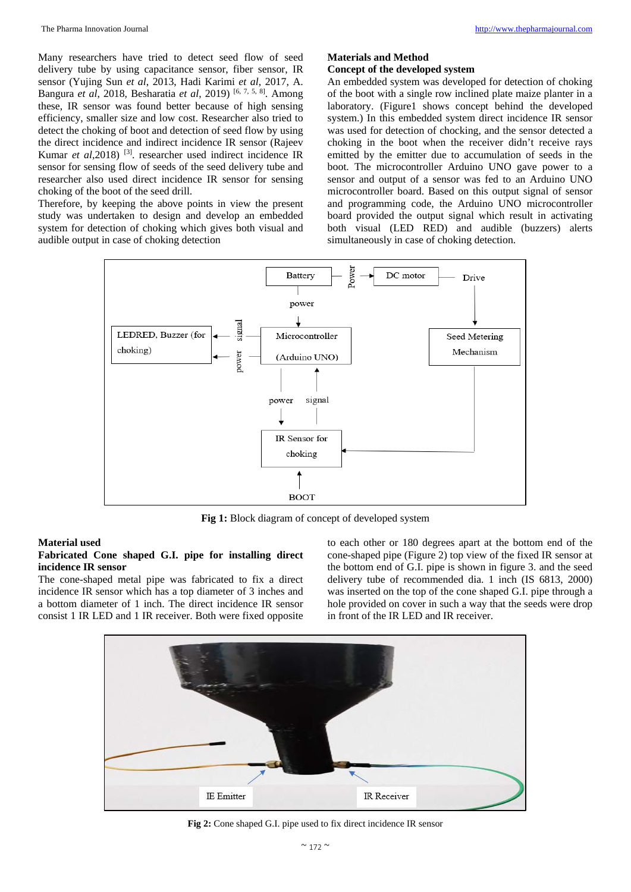Many researchers have tried to detect seed flow of seed delivery tube by using capacitance sensor, fiber sensor, IR sensor (Yujing Sun *et al*, 2013, Hadi Karimi *et al*, 2017, A. Bangura *et al*, 2018, Besharatia *et al*, 2019) [6, 7, 5, 8]. Among these, IR sensor was found better because of high sensing efficiency, smaller size and low cost. Researcher also tried to detect the choking of boot and detection of seed flow by using the direct incidence and indirect incidence IR sensor (Rajeev Kumar *et al*, 2018)<sup>[3]</sup>. researcher used indirect incidence IR sensor for sensing flow of seeds of the seed delivery tube and researcher also used direct incidence IR sensor for sensing choking of the boot of the seed drill.

Therefore, by keeping the above points in view the present study was undertaken to design and develop an embedded system for detection of choking which gives both visual and audible output in case of choking detection

# **Materials and Method**

# **Concept of the developed system**

An embedded system was developed for detection of choking of the boot with a single row inclined plate maize planter in a laboratory. (Figure1 shows concept behind the developed system.) In this embedded system direct incidence IR sensor was used for detection of chocking, and the sensor detected a choking in the boot when the receiver didn't receive rays emitted by the emitter due to accumulation of seeds in the boot. The microcontroller Arduino UNO gave power to a sensor and output of a sensor was fed to an Arduino UNO microcontroller board. Based on this output signal of sensor and programming code, the Arduino UNO microcontroller board provided the output signal which result in activating both visual (LED RED) and audible (buzzers) alerts simultaneously in case of choking detection.



**Fig 1:** Block diagram of concept of developed system

# **Material used**

# **Fabricated Cone shaped G.I. pipe for installing direct incidence IR sensor**

The cone-shaped metal pipe was fabricated to fix a direct incidence IR sensor which has a top diameter of 3 inches and a bottom diameter of 1 inch. The direct incidence IR sensor consist 1 IR LED and 1 IR receiver. Both were fixed opposite

to each other or 180 degrees apart at the bottom end of the cone-shaped pipe (Figure 2) top view of the fixed IR sensor at the bottom end of G.I. pipe is shown in figure 3. and the seed delivery tube of recommended dia. 1 inch (IS 6813, 2000) was inserted on the top of the cone shaped G.I. pipe through a hole provided on cover in such a way that the seeds were drop in front of the IR LED and IR receiver.



**Fig 2:** Cone shaped G.I. pipe used to fix direct incidence IR sensor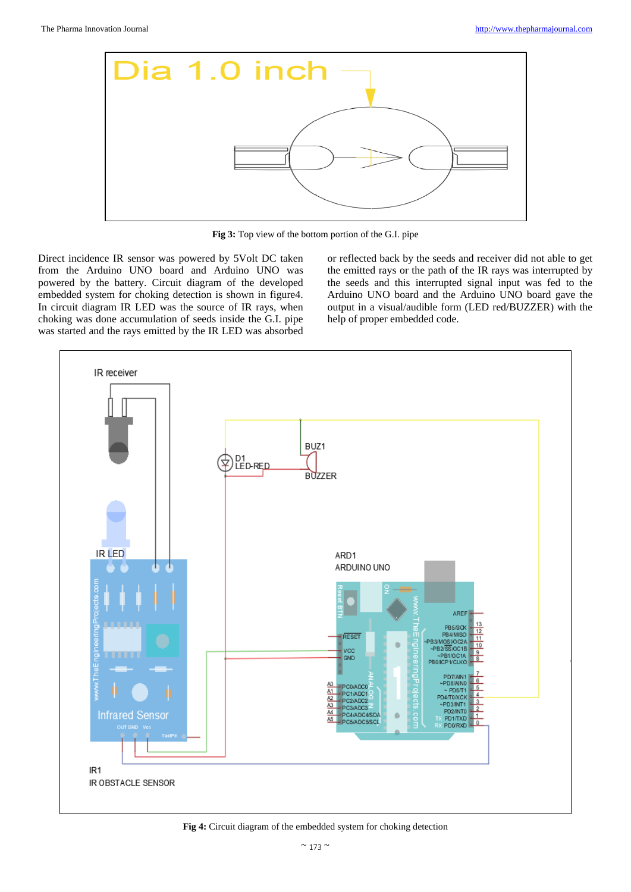

**Fig 3:** Top view of the bottom portion of the G.I. pipe

Direct incidence IR sensor was powered by 5Volt DC taken from the Arduino UNO board and Arduino UNO was powered by the battery. Circuit diagram of the developed embedded system for choking detection is shown in figure4. In circuit diagram IR LED was the source of IR rays, when choking was done accumulation of seeds inside the G.I. pipe was started and the rays emitted by the IR LED was absorbed or reflected back by the seeds and receiver did not able to get the emitted rays or the path of the IR rays was interrupted by the seeds and this interrupted signal input was fed to the Arduino UNO board and the Arduino UNO board gave the output in a visual/audible form (LED red/BUZZER) with the help of proper embedded code.



**Fig 4:** Circuit diagram of the embedded system for choking detection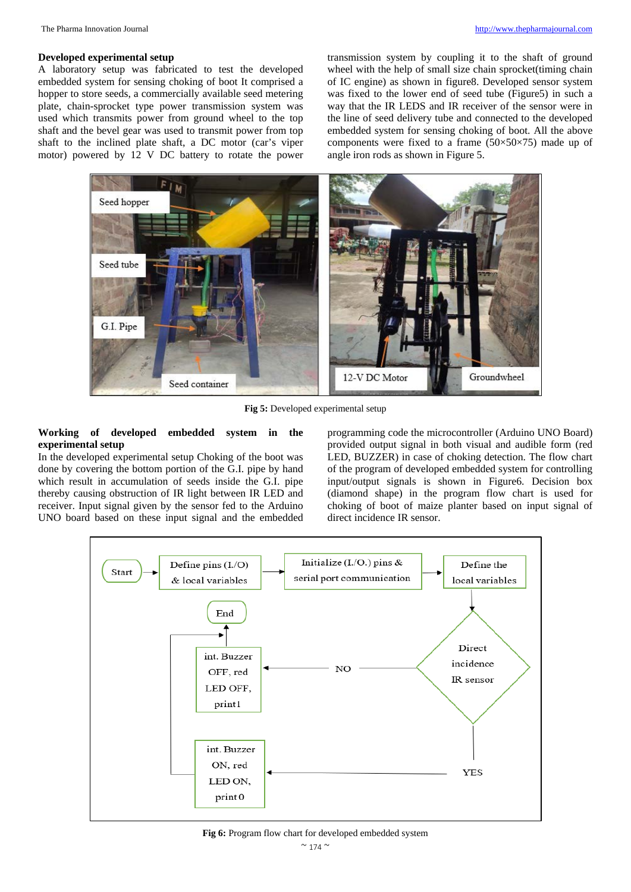## **Developed experimental setup**

A laboratory setup was fabricated to test the developed embedded system for sensing choking of boot It comprised a hopper to store seeds, a commercially available seed metering plate, chain-sprocket type power transmission system was used which transmits power from ground wheel to the top shaft and the bevel gear was used to transmit power from top shaft to the inclined plate shaft, a DC motor (car's viper motor) powered by 12 V DC battery to rotate the power

transmission system by coupling it to the shaft of ground wheel with the help of small size chain sprocket(timing chain of IC engine) as shown in figure8. Developed sensor system was fixed to the lower end of seed tube (Figure5) in such a way that the IR LEDS and IR receiver of the sensor were in the line of seed delivery tube and connected to the developed embedded system for sensing choking of boot. All the above components were fixed to a frame  $(50\times50\times75)$  made up of angle iron rods as shown in Figure 5.



**Fig 5:** Developed experimental setup

# **Working of developed embedded system in the experimental setup**

In the developed experimental setup Choking of the boot was done by covering the bottom portion of the G.I. pipe by hand which result in accumulation of seeds inside the G.I. pipe thereby causing obstruction of IR light between IR LED and receiver. Input signal given by the sensor fed to the Arduino UNO board based on these input signal and the embedded programming code the microcontroller (Arduino UNO Board) provided output signal in both visual and audible form (red LED, BUZZER) in case of choking detection. The flow chart of the program of developed embedded system for controlling input/output signals is shown in Figure6. Decision box (diamond shape) in the program flow chart is used for choking of boot of maize planter based on input signal of direct incidence IR sensor.



**Fig 6:** Program flow chart for developed embedded system